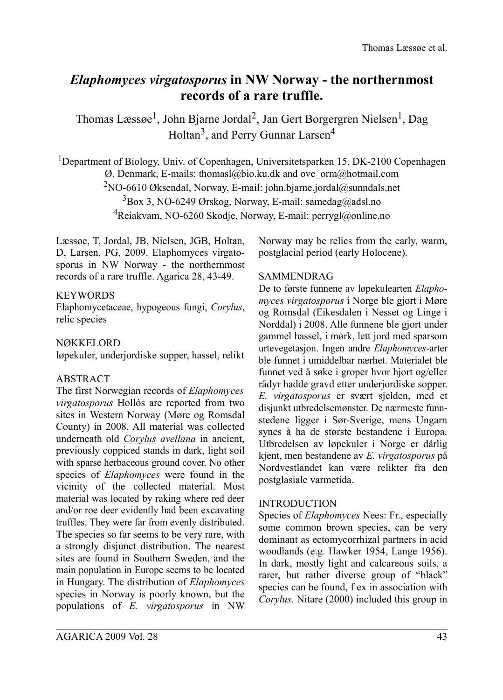# *Elaphomyces virgatosporus* **in NW Norway - the northernmost records of a rare truffle.**

Thomas Læssøe<sup>1</sup>, John Bjarne Jordal<sup>2</sup>, Jan Gert Borgergren Nielsen<sup>1</sup>, Dag Holtan<sup>3</sup>, and Perry Gunnar Larsen<sup>4</sup>

<sup>1</sup>Department of Biology, Univ. of Copenhagen, Universitetsparken 15, DK-2100 Copenhagen  $\emptyset$ , Denmark, E-mails: [thomasl@bio.ku.dk](mailto:thomasl@bio.ku.dk) and ove\_orm@hotmail.com <sup>2</sup>NO-6610 Øksendal, Norway, E-mail: john.bjarne.jordal@sunndals.net  $3$ Box 3, NO-6249 Ørskog, Norway, E-mail: samedag@adsl.no <sup>4</sup>Reiakvam, NO-6260 Skodje, Norway, E-mail: perrygl@online.no

Læssøe, T, Jordal, JB, Nielsen, JGB, Holtan, D, Larsen, PG, 2009. Elaphomyces virgatosporus in NW Norway - the northernmost records of a rare truffle. Agarica 28, 43-49.

#### **KEYWORDS**

Elaphomycetaceae, hypogeous fungi, *Corylus*, relic species

### NØKKELORD

løpekuler, underjordiske sopper, hassel, relikt

### ABSTRACT

The first Norwegian records of *Elaphomyces virgatosporus* Hollós are reported from two sites in Western Norway (Møre og Romsdal County) in 2008. All material was collected underneath old *Corylus avellana* in ancient, previously coppiced stands in dark, light soil with sparse herbaceous ground cover. No other species of *Elaphomyces* were found in the vicinity of the collected material. Most material was located by raking where red deer and/or roe deer evidently had been excavating truffles. They were far from evenly distributed. The species so far seems to be very rare, with a strongly disjunct distribution. The nearest sites are found in Southern Sweden, and the main population in Europe seems to be located in Hungary. The distribution of *Elaphomyces* species in Norway is poorly known, but the populations of *E. virgatosporus* in NW

## INTRODUCTION

Species of *Elaphomyces* Nees: Fr., especially some common brown species, can be very dominant as ectomycorrhizal partners in acid woodlands (e.g. Hawker 1954, Lange 1956). In dark, mostly light and calcareous soils, a rarer, but rather diverse group of "black" species can be found, f ex in association with *Corylus*. Nitare (2000) included this group in

Norway may be relics from the early, warm, postglacial period (early Holocene).

### SAMMENDRAG

De to første funnene av løpekulearten *Elaphomyces virgatosporus* i Norge ble gjort i Møre og Romsdal (Eikesdalen i Nesset og Linge i Norddal) i 2008. Alle funnene ble gjort under gammel hassel, i mørk, lett jord med sparsom urtevegetasjon. Ingen andre *Elaphomyces*-arter ble funnet i umiddelbar nærhet. Materialet ble funnet ved å søke i groper hvor hjort og/eller rådyr hadde gravd etter underjordiske sopper. *E. virgatosporus* er svært sjelden, med et disjunkt utbredelsemønster. De nærmeste funnstedene ligger i Sør-Sverige, mens Ungarn synes å ha de største bestandene i Europa. Utbredelsen av løpekuler i Norge er dårlig kjent, men bestandene av *E. virgatosporus* på Nordvestlandet kan være relikter fra den postglasiale varmetida.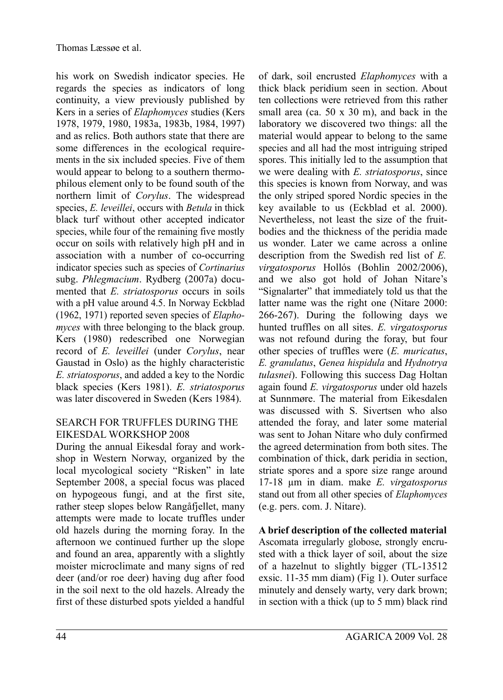his work on Swedish indicator species. He regards the species as indicators of long continuity, a view previously published by Kers in a series of *Elaphomyces* studies (Kers 1978, 1979, 1980, 1983a, 1983b, 1984, 1997) and as relics. Both authors state that there are some differences in the ecological requirements in the six included species. Five of them would appear to belong to a southern thermophilous element only to be found south of the northern limit of *Corylus*. The widespread species, *E. leveillei*, occurs with *Betula* in thick black turf without other accepted indicator species, while four of the remaining five mostly occur on soils with relatively high pH and in association with a number of co-occurring indicator species such as species of *Cortinarius* subg. *Phlegmacium*. Rydberg (2007a) documented that *E. striatosporus* occurs in soils with a pH value around 4.5. In Norway Eckblad (1962, 1971) reported seven species of *Elaphomyces* with three belonging to the black group. Kers (1980) redescribed one Norwegian record of *E. leveillei* (under *Corylus*, near Gaustad in Oslo) as the highly characteristic *E. striatosporus*, and added a key to the Nordic black species (Kers 1981). *E. striatosporus* was later discovered in Sweden (Kers 1984).

### SEARCH FOR TRUFFLES DURING THE EIKESDAL WORKSHOP 2008

During the annual Eikesdal foray and workshop in Western Norway, organized by the local mycological society "Risken" in late September 2008, a special focus was placed on hypogeous fungi, and at the first site, rather steep slopes below Rangåfjellet, many attempts were made to locate truffles under old hazels during the morning foray. In the afternoon we continued further up the slope and found an area, apparently with a slightly moister microclimate and many signs of red deer (and/or roe deer) having dug after food in the soil next to the old hazels. Already the first of these disturbed spots yielded a handful of dark, soil encrusted *Elaphomyces* with a thick black peridium seen in section. About ten collections were retrieved from this rather small area (ca. 50 x 30 m), and back in the laboratory we discovered two things: all the material would appear to belong to the same species and all had the most intriguing striped spores. This initially led to the assumption that we were dealing with *E. striatosporus*, since this species is known from Norway, and was the only striped spored Nordic species in the key available to us (Eckblad et al. 2000). Nevertheless, not least the size of the fruitbodies and the thickness of the peridia made us wonder. Later we came across a online description from the Swedish red list of *E. virgatosporus* Hollós (Bohlin 2002/2006), and we also got hold of Johan Nitare's "Signalarter" that immediately told us that the latter name was the right one (Nitare 2000: 266-267). During the following days we hunted truffles on all sites. *E. virgatosporus* was not refound during the foray, but four other species of truffles were (*E. muricatus*, *E. granulatus*, *Genea hispidula* and *Hydnotrya tulasnei*). Following this success Dag Holtan again found *E. virgatosporus* under old hazels at Sunnmøre. The material from Eikesdalen was discussed with S. Sivertsen who also attended the foray, and later some material was sent to Johan Nitare who duly confirmed the agreed determination from both sites. The combination of thick, dark peridia in section, striate spores and a spore size range around 17-18 µm in diam. make *E. virgatosporus* stand out from all other species of *Elaphomyces* (e.g. pers. com. J. Nitare).

**A brief description of the collected material** Ascomata irregularly globose, strongly encrusted with a thick layer of soil, about the size of a hazelnut to slightly bigger (TL-13512 exsic. 11-35 mm diam) (Fig 1). Outer surface minutely and densely warty, very dark brown; in section with a thick (up to 5 mm) black rind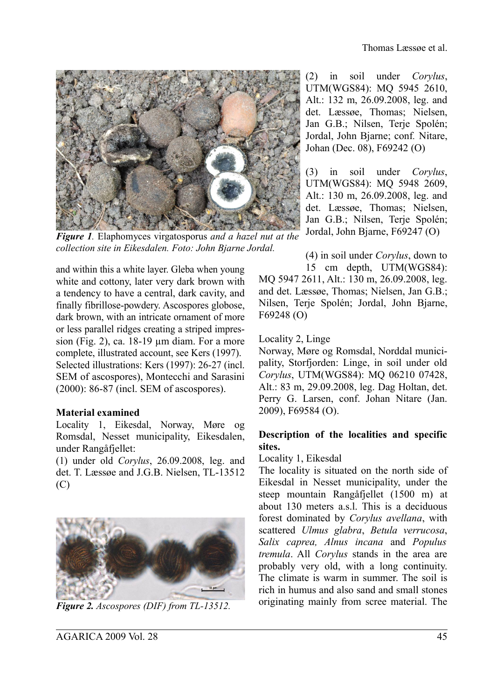

*Figure 1.* Elaphomyces virgatosporus *and a hazel nut at the collection site in Eikesdalen. Foto: John Bjarne Jordal.*

and within this a white layer. Gleba when young white and cottony, later very dark brown with a tendency to have a central, dark cavity, and finally fibrillose-powdery. Ascospores globose, dark brown, with an intricate ornament of more or less parallel ridges creating a striped impression (Fig. 2), ca. 18-19 µm diam. For a more complete, illustrated account, see Kers (1997). Selected illustrations: Kers (1997): 26-27 (incl. SEM of ascospores), Montecchi and Sarasini (2000): 86-87 (incl. SEM of ascospores).

### **Material examined**

Locality 1, Eikesdal, Norway, Møre og Romsdal, Nesset municipality, Eikesdalen, under Rangåfjellet:

(1) under old *Corylus*, 26.09.2008, leg. and det. T. Læssøe and J.G.B. Nielsen, TL-13512 (C)



*Figure 2. Ascospores (DIF) from TL-13512.*

(2) in soil under *Corylus*, UTM(WGS84): MQ 5945 2610, Alt.: 132 m, 26.09.2008, leg. and det. Læssøe, Thomas; Nielsen, Jan G.B.; Nilsen, Terje Spolén; Jordal, John Bjarne; conf*.* Nitare, Johan (Dec. 08), F69242 (O)

(3) in soil under *Corylus*, UTM(WGS84): MQ 5948 2609, Alt.: 130 m, 26.09.2008, leg. and det. Læssøe, Thomas; Nielsen, Jan G.B.; Nilsen, Terje Spolén; Jordal, John Bjarne, F69247 (O)

(4) in soil under *Corylus*, down to

15 cm depth, UTM(WGS84): MQ 5947 2611, Alt.: 130 m, 26.09.2008, leg. and det. Læssøe, Thomas; Nielsen, Jan G.B.; Nilsen, Terje Spolén; Jordal, John Bjarne, F69248 (O)

#### Locality 2, Linge

Norway, Møre og Romsdal, Norddal municipality, Storfjorden: Linge, in soil under old *Corylus*, UTM(WGS84): MQ 06210 07428, Alt.: 83 m, 29.09.2008, leg. Dag Holtan, det. Perry G. Larsen, conf. Johan Nitare (Jan. 2009), F69584 (O).

#### **Description of the localities and specific sites.**

#### Locality 1, Eikesdal

The locality is situated on the north side of Eikesdal in Nesset municipality, under the steep mountain Rangåfjellet (1500 m) at about 130 meters a.s.l. This is a deciduous forest dominated by *Corylus avellana*, with scattered *Ulmus glabra*, *Betula verrucosa*, *Salix caprea, Alnus incana* and *Populus tremula*. All *Corylus* stands in the area are probably very old, with a long continuity. The climate is warm in summer. The soil is rich in humus and also sand and small stones originating mainly from scree material. The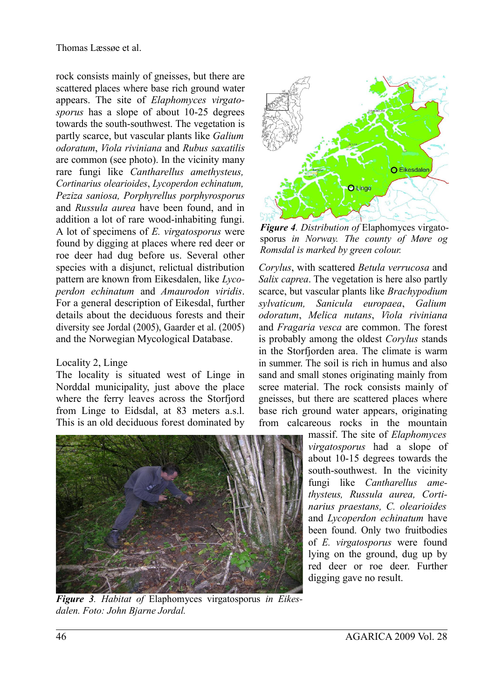rock consists mainly of gneisses, but there are scattered places where base rich ground water appears. The site of *Elaphomyces virgatosporus* has a slope of about 10-25 degrees towards the south-southwest. The vegetation is partly scarce, but vascular plants like *Galium odoratum*, *Viola riviniana* and *Rubus saxatilis* are common (see photo). In the vicinity many rare fungi like *Cantharellus amethysteus, Cortinarius olearioides*, *Lycoperdon echinatum, Peziza saniosa, Porphyrellus porphyrosporus* and *Russula aurea* have been found, and in addition a lot of rare wood-inhabiting fungi. A lot of specimens of *E. virgatosporus* were found by digging at places where red deer or roe deer had dug before us. Several other species with a disjunct, relictual distribution pattern are known from Eikesdalen, like *Lycoperdon echinatum* and *Amaurodon viridis*. For a general description of Eikesdal, further details about the deciduous forests and their diversity see Jordal (2005), Gaarder et al. (2005) and the Norwegian Mycological Database.

### Locality 2, Linge

The locality is situated west of Linge in Norddal municipality, just above the place where the ferry leaves across the Storfjord from Linge to Eidsdal, at 83 meters a.s.l. This is an old deciduous forest dominated by



*Figure 3. Habitat of* Elaphomyces virgatosporus *in Eikesdalen. Foto: John Bjarne Jordal.*



*Figure 4. Distribution of* Elaphomyces virgatosporus *in Norway. The county of Møre og Romsdal is marked by green colour.*

*Corylus*, with scattered *Betula verrucosa* and *Salix caprea*. The vegetation is here also partly scarce, but vascular plants like *Brachypodium sylvaticum, Sanicula europaea*, *Galium odoratum*, *Melica nutans*, *Viola riviniana* and *Fragaria vesca* are common. The forest is probably among the oldest *Corylus* stands in the Storfjorden area. The climate is warm in summer. The soil is rich in humus and also sand and small stones originating mainly from scree material. The rock consists mainly of gneisses, but there are scattered places where base rich ground water appears, originating from calcareous rocks in the mountain

massif. The site of *Elaphomyces virgatosporus* had a slope of about 10-15 degrees towards the south-southwest. In the vicinity fungi like *Cantharellus amethysteus, Russula aurea, Cortinarius praestans, C. olearioides* and *Lycoperdon echinatum* have been found. Only two fruitbodies of *E. virgatosporus* were found lying on the ground, dug up by red deer or roe deer. Further digging gave no result.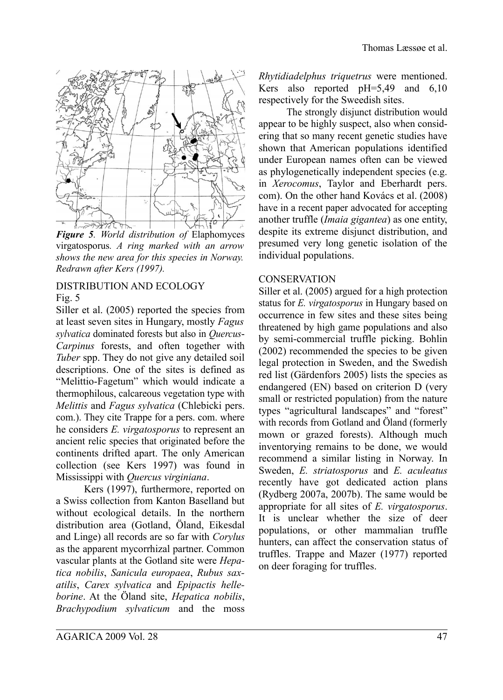

*Figure 5. World distribution of* Elaphomyces virgatosporus*. A ring marked with an arrow shows the new area for this species in Norway. Redrawn after Kers (1997).*

## DISTRIBUTION AND ECOLOGY

Fig.  $5$ 

Siller et al. (2005) reported the species from at least seven sites in Hungary, mostly *Fagus sylvatica* dominated forests but also in *Quercus*-*Carpinus* forests, and often together with *Tuber* spp. They do not give any detailed soil descriptions. One of the sites is defined as "Melittio-Fagetum" which would indicate a thermophilous, calcareous vegetation type with *Melittis* and *Fagus sylvatica* (Chlebicki pers. com.). They cite Trappe for a pers. com. where he considers *E. virgatosporus* to represent an ancient relic species that originated before the continents drifted apart. The only American collection (see Kers 1997) was found in Mississippi with *Quercus virginiana*.

Kers (1997), furthermore, reported on a Swiss collection from Kanton Baselland but without ecological details. In the northern distribution area (Gotland, Öland, Eikesdal and Linge) all records are so far with *Corylus* as the apparent mycorrhizal partner. Common vascular plants at the Gotland site were *Hepatica nobilis*, *Sanicula europaea*, *Rubus saxatilis*, *Carex sylvatica* and *Epipactis helleborine*. At the Öland site, *Hepatica nobilis*, *Brachypodium sylvaticum* and the moss *Rhytidiadelphus triquetrus* were mentioned. Kers also reported pH=5,49 and 6,10 respectively for the Sweedish sites.

The strongly disjunct distribution would appear to be highly suspect, also when considering that so many recent genetic studies have shown that American populations identified under European names often can be viewed as phylogenetically independent species (e.g. in *Xerocomus*, Taylor and Eberhardt pers. com). On the other hand Kovács et al. (2008) have in a recent paper advocated for accepting another truffle (*Imaia gigantea*) as one entity, despite its extreme disjunct distribution, and presumed very long genetic isolation of the individual populations.

#### **CONSERVATION**

Siller et al. (2005) argued for a high protection status for *E. virgatosporus* in Hungary based on occurrence in few sites and these sites being threatened by high game populations and also by semi-commercial truffle picking. Bohlin (2002) recommended the species to be given legal protection in Sweden, and the Swedish red list (Gärdenfors 2005) lists the species as endangered (EN) based on criterion D (very small or restricted population) from the nature types "agricultural landscapes" and "forest" with records from Gotland and Öland (formerly mown or grazed forests). Although much inventorying remains to be done, we would recommend a similar listing in Norway. In Sweden, *E. striatosporus* and *E. aculeatus* recently have got dedicated action plans (Rydberg 2007a, 2007b). The same would be appropriate for all sites of *E. virgatosporus*. It is unclear whether the size of deer populations, or other mammalian truffle hunters, can affect the conservation status of truffles. Trappe and Mazer (1977) reported on deer foraging for truffles.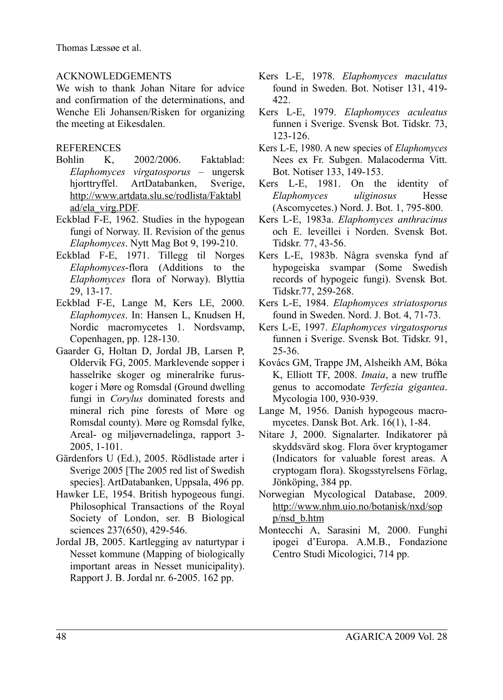## ACKNOWLEDGEMENTS

We wish to thank Johan Nitare for advice and confirmation of the determinations, and Wenche Eli Johansen/Risken for organizing the meeting at Eikesdalen.

## **REFERENCES**

- Bohlin K, 2002/2006. Faktablad: *Elaphomyces virgatosporus* – ungersk hiorttryffel. ArtDatabanken, Sverige, http://www.artdata.slu.se/rodlista/Faktabl ad/ela\_virg.PDF.
- Eckblad F-E, 1962. Studies in the hypogean fungi of Norway. II. Revision of the genus *Elaphomyces*. Nytt Mag Bot 9, 199-210.
- Eckblad F-E, 1971. Tillegg til Norges *Elaphomyces*-flora (Additions to the *Elaphomyces* flora of Norway). Blyttia 29, 13-17.
- Eckblad F-E, Lange M, Kers LE, 2000. *Elaphomyces*. In: Hansen L, Knudsen H, Nordic macromycetes 1. Nordsvamp, Copenhagen, pp. 128-130.
- Gaarder G, Holtan D, Jordal JB, Larsen P, Oldervik FG, 2005. Marklevende sopper i hasselrike skoger og mineralrike furuskoger i Møre og Romsdal (Ground dwelling fungi in *Corylus* dominated forests and mineral rich pine forests of Møre og Romsdal county). Møre og Romsdal fylke, Areal- og miljøvernadelinga, rapport 3- 2005, 1-101.
- Gärdenfors U (Ed.), 2005. Rödlistade arter i Sverige 2005 [The 2005 red list of Swedish species]. ArtDatabanken, Uppsala, 496 pp.
- Hawker LE, 1954. British hypogeous fungi. Philosophical Transactions of the Royal Society of London, ser. B Biological sciences 237(650), 429-546.
- Jordal JB, 2005. Kartlegging av naturtypar i Nesset kommune (Mapping of biologically important areas in Nesset municipality). Rapport J. B. Jordal nr. 6-2005. 162 pp.
- Kers L-E, 1978. *Elaphomyces maculatus* found in Sweden. Bot. Notiser 131, 419- 422.
- Kers L-E, 1979. *Elaphomyces aculeatus* funnen i Sverige. Svensk Bot. Tidskr. 73, 123-126.
- Kers L-E, 1980. A new species of *Elaphomyces* Nees ex Fr. Subgen. Malacoderma Vitt. Bot. Notiser 133, 149-153.
- Kers L-E, 1981. On the identity of *Elaphomyces uliginosus* Hesse (Ascomycetes.) Nord. J. Bot. 1, 795-800.
- Kers L-E, 1983a. *Elaphomyces anthracinus* och E. leveillei i Norden. Svensk Bot. Tidskr. 77, 43-56.
- Kers L-E, 1983b. Några svenska fynd af hypogeiska svampar (Some Swedish records of hypogeic fungi). Svensk Bot. Tidskr.77, 259-268.
- Kers L-E, 1984. *Elaphomyces striatosporus* found in Sweden. Nord. J. Bot. 4, 71-73.
- Kers L-E, 1997. *Elaphomyces virgatosporus* funnen i Sverige. Svensk Bot. Tidskr. 91, 25-36.
- Kovács GM, Trappe JM, Alsheikh AM, Bóka K, Elliott TF, 2008. *Imaia*, a new truffle genus to accomodate *Terfezia gigantea*. Mycologia 100, 930-939.
- Lange M, 1956. Danish hypogeous macromycetes. Dansk Bot. Ark. 16(1), 1-84.
- Nitare J, 2000. Signalarter. Indikatorer på skyddsvärd skog. Flora över kryptogamer (Indicators for valuable forest areas. A cryptogam flora). Skogsstyrelsens Förlag, Jönköping, 384 pp.
- Norwegian Mycological Database, 2009. http://www.nhm.uio.no/botanisk/nxd/sop p/nsd\_b.htm
- Montecchi A, Sarasini M, 2000. Funghi ipogei d'Europa. A.M.B., Fondazione Centro Studi Micologici, 714 pp.